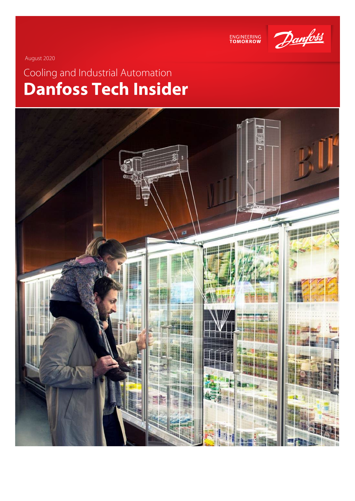

**ENGINEERING**<br>TOMORROW

August 2020

# Cooling and Industrial Automation **Danfoss Tech Insider**

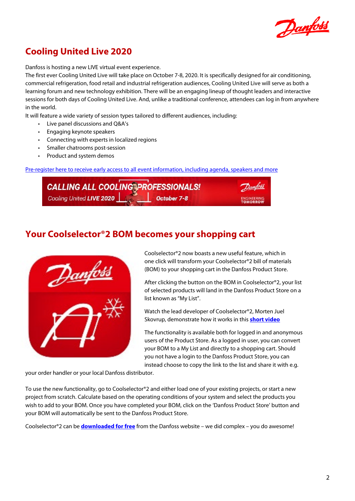

# **Cooling United Live 2020**

Danfoss is hosting a new LIVE virtual event experience.

The first ever Cooling United Live will take place on October 7-8, 2020. It is specifically designed for air conditioning, commercial refrigeration, food retail and industrial refrigeration audiences, Cooling United Live will serve as both a learning forum and new technology exhibition. There will be an engaging lineup of thought leaders and interactive sessions for both days of Cooling United Live. And, unlike a traditional conference, attendees can log in from anywhere in the world.

It will feature a wide variety of session types tailored to different audiences, including:

- Live panel discussions and Q&A's
- Engaging keynote speakers
- Connecting with experts in localized regions
- Smaller chatrooms post-session
- Product and system demos

[Pre-register here to receive early access to all event information, including agenda, speakers and more](https://w.tame.events/e/145364898?utm_medium=email&utm_source=enewsletter&utm_campaign=dcs_cooling_united_live&utm_content=subscribers_save_the_date&utm_medium=MailSFMC&utm_campaign=DCS_DK_Cooling_Danfoss+Cooling+United+email+1_2020&utm_source=emailcampaigns)



### **Your Coolselector®2 BOM becomes your shopping cart**



Coolselector®2 now boasts a new useful feature, which in one click will transform your Coolselector®2 bill of materials (BOM) to your shopping cart in the Danfoss Product Store.

After clicking the button on the BOM in Coolselector®2, your list of selected products will land in the Danfoss Product Store on a list known as "My List".

Watch the lead developer of Coolselector®2, Morten Juel Skovrup, demonstrate how it works in this **[short video](https://youtu.be/3et9gO3SjfA)**

The functionality is available both for logged in and anonymous users of the Product Store. As a logged in user, you can convert your BOM to a My List and directly to a shopping cart. Should you not have a login to the Danfoss Product Store, you can instead choose to copy the link to the list and share it with e.g.

your order handler or your local Danfoss distributor.

To use the new functionality, go to Coolselector®2 and either load one of your existing projects, or start a new project from scratch. Calculate based on the operating conditions of your system and select the products you wish to add to your BOM. Once you have completed your BOM, click on the 'Danfoss Product Store' button and your BOM will automatically be sent to the Danfoss Product Store.

Coolselector®2 can be **[downloaded for free](http://coolselector.danfoss.com/)** from the Danfoss website – we did complex – you do awesome!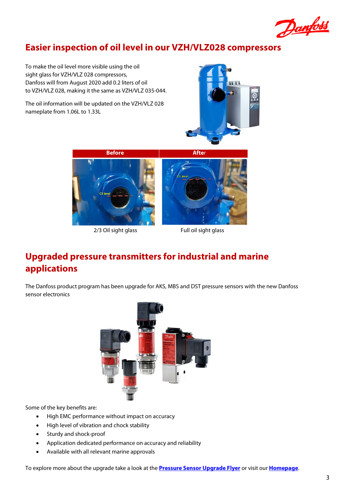Danfoss

# **Easier inspection of oil level in our VZH/VLZ028 compressors**

To make the oil level more visible using the oil sight glass for VZH/VLZ 028 compressors, Danfoss will from August 2020 add 0.2 liters of oil to VZH/VLZ 028, making it the same as VZH/VLZ 035-044.

The oil information will be updated on the VZH/VLZ 028 nameplate from 1.06L to 1.33L





2/3 Oil sight glass Full oil sight glass

# **Upgraded pressure transmitters for industrial and marine applications**

The Danfoss product program has been upgrade for AKS, MBS and DST pressure sensors with the new Danfoss sensor electronics



Some of the key benefits are:

- High EMC performance without impact on accuracy
- High level of vibration and chock stability
- Sturdy and shock-proof
- Application dedicated performance on accuracy and reliability
- Available with all relevant marine approvals

To explore more about the upgrade take a look at the **[Pressure Sensor Upgrade Flyer](https://danfoss.sharepoint.com/sites/DCS-Segments/IA/Marine/ID172/Shared%20Documents/Cooling/Analogue_Sensor_ID172_flyer_Cooling_Chiller_Jan2019_low-res.pdf?csf=1&e=cgE9WP&cid=67c18e92-c252-492b-8b50-6bc3cc219d71)** or visit our **[Homepage](https://www.danfoss.com/en/products/sensors-and-transmitters/dcs/industrial-pressure-transmitters/pressure-transmitters-for-marine-applications/#tab-overview)**.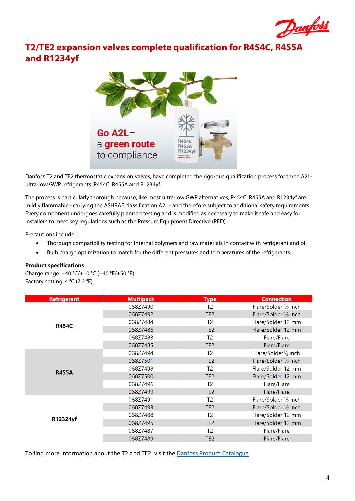

## **T2/TE2 expansion valves complete qualification for R454C, R455A and R1234yf**



Danfoss T2 and TE2 thermostatic expansion valves, have completed the rigorous qualification process for three A2Lultra-low GWP refrigerants: R454C, R455A and R1234yf.

The process is particularly thorough because, like most ultra-low GWP alternatives, R454C, R455A and R1234yf are mildly flammable - carrying the ASHRAE classification A2L - and therefore subject to additional safety requirements. Every component undergoes carefully planned testing and is modified as necessary to make it safe and easy for installers to meet key regulations such as the Pressure Equipment Directive (PED).

Precautions include:

- Thorough compatibility testing for internal polymers and raw materials in contact with refrigerant and oil
- Bulb charge optimization to match for the different pressures and temperatures of the refrigerants.

#### **Product specifications**

Charge range: −40 °C/+10 °C (−40 °F/+50 °F) Factory setting: 4 °C (7.2 °F)

| <b>Refrigerant</b> | <b>Multipack</b> | <b>Type</b>     | <b>Connection</b>                 |
|--------------------|------------------|-----------------|-----------------------------------|
| <b>R454C</b>       | 068Z7490         | T <sub>2</sub>  | Flare/Solder $\frac{1}{2}$ inch   |
|                    | 068Z7492         | TE <sub>2</sub> | Flare/Solder 1/2 inch             |
|                    | 068Z7484         | T <sub>2</sub>  | Flare/Solder 12 mm                |
|                    | 068Z7486         | TE <sub>2</sub> | Flare/Solder 12 mm                |
|                    | 068Z7483         | T <sub>2</sub>  | Flare/Flare                       |
|                    | 068Z7485         | TE <sub>2</sub> | Flare/Flare                       |
| <b>R455A</b>       | 068Z7494         | T <sub>2</sub>  | Flare/Solder <sup>1</sup> /2 inch |
|                    | 068Z7501         | TE <sub>2</sub> | Flare/Solder $\frac{1}{2}$ inch   |
|                    | 068Z7498         | T2              | Flare/Solder 12 mm                |
|                    | 068Z7500         | TE <sub>2</sub> | Flare/Solder 12 mm                |
|                    | 068Z7496         | T <sub>2</sub>  | Flare/Flare                       |
|                    | 068Z7499         | TE <sub>2</sub> | Flare/Flare                       |
| R12324yf           | 068Z7491         | T <sub>2</sub>  | Flare/Solder $\frac{1}{2}$ inch   |
|                    | 068Z7493         | TE <sub>2</sub> | Flare/Solder $\frac{1}{2}$ inch   |
|                    | 068Z7488         | T <sub>2</sub>  | Flare/Solder 12 mm                |
|                    | 068Z7495         | TE <sub>2</sub> | Flare/Solder 12 mm                |
|                    | 068Z7487         | T <sub>2</sub>  | Flare/Flare                       |
|                    | 068Z7489         | TE <sub>2</sub> | Flare/Flare                       |

To find more information about the T2 and TE2, visit th[e Danfoss Product Catalogue](https://store.danfoss.com/en/Cooling/Valves/Expansion-Valves/Thermostatic-Expansion-Valves-%28Parts-Program%29/c/2092?q=%3Arelevance%3Adanfoss_producttypehierarchydesc%3A5c8c4ea08dd9dfaba37985abd76f42aca50eca72%3Adanfoss_producttypehierarchydesc%3A1988f55a17ee6ff5804312f5a4d2dbfba0cf87fb%3Adanfoss_producttypehierarchydesc%3Aee5c2b8d6d8d35f48978bbd2a3be319bb17b4788&text=)